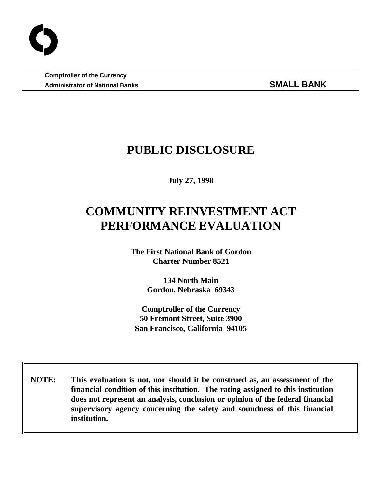**Comptroller of the Currency** Administrator of National Banks **SMALL BANK** 

## **PUBLIC DISCLOSURE**

**July 27, 1998**

# **COMMUNITY REINVESTMENT ACT PERFORMANCE EVALUATION**

**The First National Bank of Gordon Charter Number 8521**

> **134 North Main Gordon, Nebraska 69343**

**Comptroller of the Currency 50 Fremont Street, Suite 3900 San Francisco, California 94105**

 **NOTE: This evaluation is not, nor should it be construed as, an assessment of the financial condition of this institution. The rating assigned to this institution does not represent an analysis, conclusion or opinion of the federal financial supervisory agency concerning the safety and soundness of this financial institution.**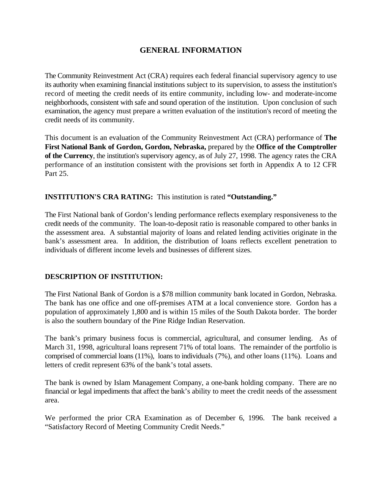## **GENERAL INFORMATION**

The Community Reinvestment Act (CRA) requires each federal financial supervisory agency to use its authority when examining financial institutions subject to its supervision, to assess the institution's record of meeting the credit needs of its entire community, including low- and moderate-income neighborhoods, consistent with safe and sound operation of the institution. Upon conclusion of such examination, the agency must prepare a written evaluation of the institution's record of meeting the credit needs of its community.

This document is an evaluation of the Community Reinvestment Act (CRA) performance of **The First National Bank of Gordon, Gordon, Nebraska,** prepared by the **Office of the Comptroller of the Currency**, the institution's supervisory agency, as of July 27, 1998. The agency rates the CRA performance of an institution consistent with the provisions set forth in Appendix A to 12 CFR Part 25.

## **INSTITUTION'S CRA RATING:** This institution is rated **"Outstanding."**

The First National bank of Gordon's lending performance reflects exemplary responsiveness to the credit needs of the community. The loan-to-deposit ratio is reasonable compared to other banks in the assessment area. A substantial majority of loans and related lending activities originate in the bank's assessment area. In addition, the distribution of loans reflects excellent penetration to individuals of different income levels and businesses of different sizes.

## **DESCRIPTION OF INSTITUTION:**

The First National Bank of Gordon is a \$78 million community bank located in Gordon, Nebraska. The bank has one office and one off-premises ATM at a local convenience store. Gordon has a population of approximately 1,800 and is within 15 miles of the South Dakota border. The border is also the southern boundary of the Pine Ridge Indian Reservation.

The bank's primary business focus is commercial, agricultural, and consumer lending. As of March 31, 1998, agricultural loans represent 71% of total loans. The remainder of the portfolio is comprised of commercial loans (11%), loans to individuals (7%), and other loans (11%). Loans and letters of credit represent 63% of the bank's total assets.

The bank is owned by Islam Management Company, a one-bank holding company. There are no financial or legal impediments that affect the bank's ability to meet the credit needs of the assessment area.

We performed the prior CRA Examination as of December 6, 1996. The bank received a "Satisfactory Record of Meeting Community Credit Needs."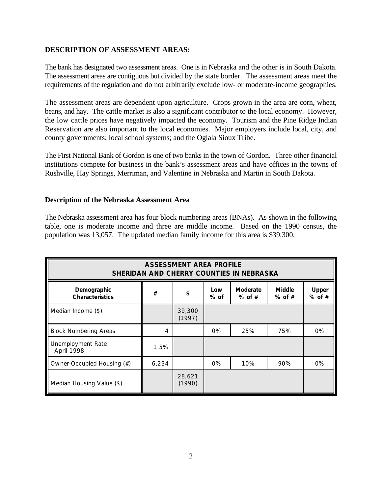## **DESCRIPTION OF ASSESSMENT AREAS:**

The bank has designated two assessment areas. One is in Nebraska and the other is in South Dakota. The assessment areas are contiguous but divided by the state border. The assessment areas meet the requirements of the regulation and do not arbitrarily exclude low- or moderate-income geographies.

The assessment areas are dependent upon agriculture. Crops grown in the area are corn, wheat, beans, and hay. The cattle market is also a significant contributor to the local economy. However, the low cattle prices have negatively impacted the economy. Tourism and the Pine Ridge Indian Reservation are also important to the local economies. Major employers include local, city, and county governments; local school systems; and the Oglala Sioux Tribe.

The First National Bank of Gordon is one of two banks in the town of Gordon. Three other financial institutions compete for business in the bank's assessment areas and have offices in the towns of Rushville, Hay Springs, Merriman, and Valentine in Nebraska and Martin in South Dakota.

#### **Description of the Nebraska Assessment Area**

The Nebraska assessment area has four block numbering areas (BNAs). As shown in the following table, one is moderate income and three are middle income. Based on the 1990 census, the population was 13,057. The updated median family income for this area is \$39,300.

| <b>ASSESSMENT AREA PROFILE</b><br>SHERIDAN AND CHERRY COUNTIES IN NEBRASKA |       |                  |             |                             |                           |                            |
|----------------------------------------------------------------------------|-------|------------------|-------------|-----------------------------|---------------------------|----------------------------|
| Demographic<br><b>Characteristics</b>                                      | #     | \$               | Low<br>% of | <b>Moderate</b><br>$%$ of # | <b>Middle</b><br>$%$ of # | <b>Upper</b><br>$%$ of $#$ |
| Median Income (\$)                                                         |       | 39,300<br>(1997) |             |                             |                           |                            |
| <b>Block Numbering Areas</b>                                               | 4     |                  | 0%          | 25%                         | 75%                       | 0%                         |
| <b>Unemployment Rate</b><br>April 1998                                     | 1.5%  |                  |             |                             |                           |                            |
| Owner-Occupied Housing (#)                                                 | 6,234 |                  | 0%          | 10%                         | 90%                       | 0%                         |
| Median Housing Value (\$)                                                  |       | 28,621<br>(1990) |             |                             |                           |                            |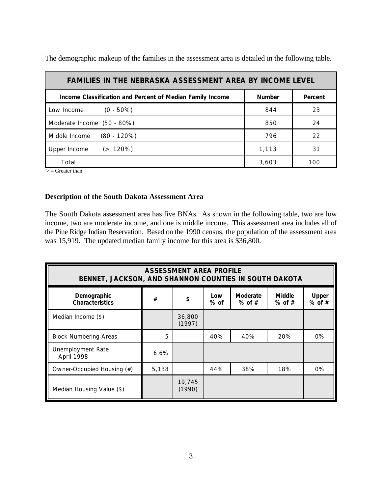The demographic makeup of the families in the assessment area is detailed in the following table.

| FAMILIES IN THE NEBRASKA ASSESSMENT AREA BY INCOME LEVEL                   |       |     |  |  |
|----------------------------------------------------------------------------|-------|-----|--|--|
| <b>Number</b><br>Income Classification and Percent of Median Family Income |       |     |  |  |
| $(0 - 50\%)$<br>Low Income                                                 | 844   | 23  |  |  |
| Moderate Income (50 - 80%)                                                 | 850   | 24  |  |  |
| Middle Income<br>$(80 - 120%)$                                             | 796   | 22  |  |  |
| $(> 120\%)$<br>Upper Income                                                | 1,113 | 31  |  |  |
| Total                                                                      | 3,603 | 100 |  |  |

 $>$  = Greater than.

## **Description of the South Dakota Assessment Area**

The South Dakota assessment area has five BNAs. As shown in the following table, two are low income, two are moderate income, and one is middle income. This assessment area includes all of the Pine Ridge Indian Reservation. Based on the 1990 census, the population of the assessment area was 15,919. The updated median family income for this area is \$36,800.

| <b>ASSESSMENT AREA PROFILE</b><br>BENNET, JACKSON, AND SHANNON COUNTIES IN SOUTH DAKOTA |       |                  |               |                        |                           |                            |
|-----------------------------------------------------------------------------------------|-------|------------------|---------------|------------------------|---------------------------|----------------------------|
| Demographic<br><b>Characteristics</b>                                                   | #     | \$               | Low<br>$%$ of | Moderate<br>$%$ of $#$ | <b>Middle</b><br>$%$ of # | <b>Upper</b><br>$%$ of $#$ |
| Median Income (\$)                                                                      |       | 36,800<br>(1997) |               |                        |                           |                            |
| <b>Block Numbering Areas</b>                                                            | 5     |                  | 40%           | 40%                    | 20%                       | $0\%$                      |
| Unemployment Rate<br>April 1998                                                         | 6.6%  |                  |               |                        |                           |                            |
| Owner-Occupied Housing (#)                                                              | 5,138 |                  | 44%           | 38%                    | 18%                       | $0\%$                      |
| Median Housing Value (\$)                                                               |       | 19,745<br>(1990) |               |                        |                           |                            |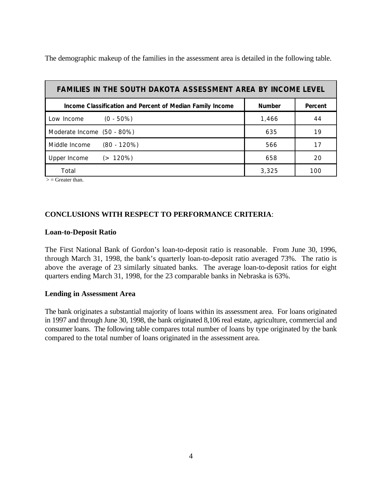The demographic makeup of the families in the assessment area is detailed in the following table.

| <b>FAMILIES IN THE SOUTH DAKOTA ASSESSMENT AREA BY INCOME LEVEL</b> |               |         |  |  |  |
|---------------------------------------------------------------------|---------------|---------|--|--|--|
| Income Classification and Percent of Median Family Income           | <b>Number</b> | Percent |  |  |  |
| $(0 - 50\%)$<br>Low Income                                          | 1,466         | 44      |  |  |  |
| Moderate Income (50 - 80%)                                          | 635           | 19      |  |  |  |
| Middle Income<br>$(80 - 120%)$                                      | 566           | 17      |  |  |  |
| $(> 120\%)$<br>Upper Income                                         | 658           | 20      |  |  |  |
| Total                                                               | 3,325         | 100     |  |  |  |

 $\geq$  = Greater than.

## **CONCLUSIONS WITH RESPECT TO PERFORMANCE CRITERIA**:

#### **Loan-to-Deposit Ratio**

The First National Bank of Gordon's loan-to-deposit ratio is reasonable. From June 30, 1996, through March 31, 1998, the bank's quarterly loan-to-deposit ratio averaged 73%. The ratio is above the average of 23 similarly situated banks. The average loan-to-deposit ratios for eight quarters ending March 31, 1998, for the 23 comparable banks in Nebraska is 63%.

#### **Lending in Assessment Area**

The bank originates a substantial majority of loans within its assessment area. For loans originated in 1997 and through June 30, 1998, the bank originated 8,106 real estate, agriculture, commercial and consumer loans. The following table compares total number of loans by type originated by the bank compared to the total number of loans originated in the assessment area.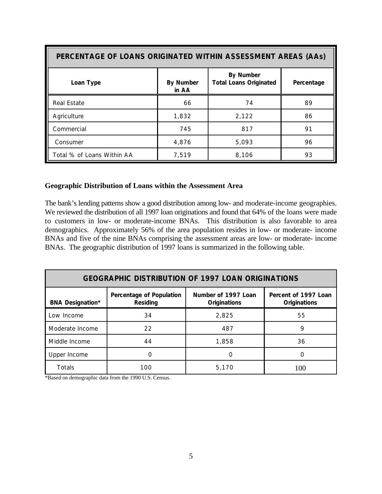| PERCENTAGE OF LOANS ORIGINATED WITHIN ASSESSMENT AREAS (AAs) |                           |                                                   |            |  |  |
|--------------------------------------------------------------|---------------------------|---------------------------------------------------|------------|--|--|
| Loan Type                                                    | <b>By Number</b><br>in AA | <b>By Number</b><br><b>Total Loans Originated</b> | Percentage |  |  |
| <b>Real Estate</b>                                           | 66                        | 74                                                | 89         |  |  |
| Agriculture                                                  | 1,832                     | 2,122                                             | 86         |  |  |
| Commercial                                                   | 745                       | 817                                               | 91         |  |  |
| Consumer                                                     | 4,876                     | 5,093                                             | 96         |  |  |
| Total % of Loans Within AA                                   | 7,519                     | 8,106                                             | 93         |  |  |

#### **Geographic Distribution of Loans within the Assessment Area**

The bank's lending patterns show a good distribution among low- and moderate-income geographies. We reviewed the distribution of all 1997 loan originations and found that 64% of the loans were made to customers in low- or moderate-income BNAs. This distribution is also favorable to area demographics. Approximately 56% of the area population resides in low- or moderate- income BNAs and five of the nine BNAs comprising the assessment areas are low- or moderate- income BNAs. The geographic distribution of 1997 loans is summarized in the following table.

| <b>GEOGRAPHIC DISTRIBUTION OF 1997 LOAN ORIGINATIONS</b> |                                             |                                            |                                             |  |  |
|----------------------------------------------------------|---------------------------------------------|--------------------------------------------|---------------------------------------------|--|--|
| <b>BNA Designation*</b>                                  | Percentage of Population<br><b>Residing</b> | Number of 1997 Loan<br><b>Originations</b> | Percent of 1997 Loan<br><b>Originations</b> |  |  |
| Low Income                                               | 34                                          | 2,825                                      | 55                                          |  |  |
| Moderate Income                                          | 22                                          | 487                                        | 9                                           |  |  |
| Middle Income                                            | 44                                          | 1,858                                      | 36                                          |  |  |
| Upper Income                                             | Ω                                           |                                            |                                             |  |  |
| <b>Totals</b>                                            | 100                                         | 5,170                                      | 100                                         |  |  |

\*Based on demographic data from the 1990 U.S. Census.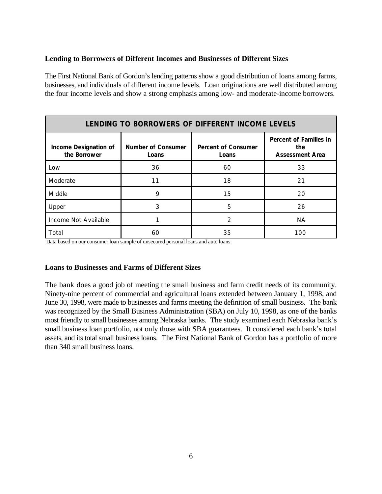## **Lending to Borrowers of Different Incomes and Businesses of Different Sizes**

The First National Bank of Gordon's lending patterns show a good distribution of loans among farms, businesses, and individuals of different income levels. Loan originations are well distributed among the four income levels and show a strong emphasis among low- and moderate-income borrowers.

| LENDING TO BORROWERS OF DIFFERENT INCOME LEVELS |                                    |                                     |                                                                |  |  |
|-------------------------------------------------|------------------------------------|-------------------------------------|----------------------------------------------------------------|--|--|
| Income Designation of<br>the Borrower           | <b>Number of Consumer</b><br>Loans | <b>Percent of Consumer</b><br>Loans | <b>Percent of Families in</b><br>the<br><b>Assessment Area</b> |  |  |
| Low                                             | 36                                 | 60                                  | 33                                                             |  |  |
| Moderate                                        | 11                                 | 18                                  | 21                                                             |  |  |
| Middle                                          | 9                                  | 15                                  | 20                                                             |  |  |
| Upper                                           | 3                                  | 5                                   | 26                                                             |  |  |
| Income Not Available                            |                                    | $\mathfrak{D}$                      | <b>NA</b>                                                      |  |  |
| Total                                           | 60                                 | 35                                  | 100                                                            |  |  |

Data based on our consumer loan sample of unsecured personal loans and auto loans.

#### **Loans to Businesses and Farms of Different Sizes**

The bank does a good job of meeting the small business and farm credit needs of its community. Ninety-nine percent of commercial and agricultural loans extended between January 1, 1998, and June 30, 1998, were made to businesses and farms meeting the definition of small business. The bank was recognized by the Small Business Administration (SBA) on July 10, 1998, as one of the banks most friendly to small businesses among Nebraska banks. The study examined each Nebraska bank's small business loan portfolio, not only those with SBA guarantees. It considered each bank's total assets, and its total small business loans. The First National Bank of Gordon has a portfolio of more than 340 small business loans.